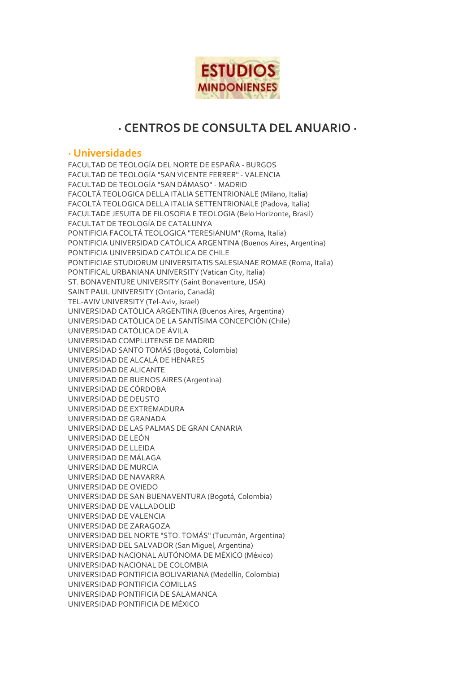

# **· CENTROS DE CONSULTA DEL ANUARIO ·**

# **· Universidades**

FACULTAD DE TEOLOGÍA DEL NORTE DE ESPAÑA - BURGOS FACULTAD DE TEOLOGÍA "SAN VICENTE FERRER" - VALENCIA FACULTAD DE TEOLOGÍA "SAN DÁMASO" - MADRID FACOLTÁ TEOLOGICA DELLA ITALIA SETTENTRIONALE (Milano, Italia) FACOLTÁ TEOLOGICA DELLA ITALIA SETTENTRIONALE (Padova, Italia) FACULTADE JESUITA DE FILOSOFIA E TEOLOGIA (Belo Horizonte, Brasil) FACULTAT DE TEOLOGÍA DE CATALUNYA PONTIFICIA FACOLTÁ TEOLOGICA "TERESIANUM" (Roma, Italia) PONTIFICIA UNIVERSIDAD CATÓLICA ARGENTINA (Buenos Aires, Argentina) PONTIFICIA UNIVERSIDAD CATÓLICA DE CHILE PONTIFICIAE STUDIORUM UNIVERSITATIS SALESIANAE ROMAE (Roma, Italia) PONTIFICAL URBANIANA UNIVERSITY (Vatican City, Italia) ST. BONAVENTURE UNIVERSITY (Saint Bonaventure, USA) SAINT PAUL UNIVERSITY (Ontario, Canadá) TEL-AVIV UNIVERSITY (Tel-Aviv, Israel) UNIVERSIDAD CATÓLICA ARGENTINA (Buenos Aires, Argentina) UNIVERSIDAD CATÓLICA DE LA SANTÍSIMA CONCEPCIÓN (Chile) UNIVERSIDAD CATÓLICA DE ÁVILA UNIVERSIDAD COMPLUTENSE DE MADRID UNIVERSIDAD SANTO TOMÁS (Bogotá, Colombia) UNIVERSIDAD DE ALCALÁ DE HENARES UNIVERSIDAD DE ALICANTE UNIVERSIDAD DE BUENOS AIRES (Argentina) UNIVERSIDAD DE CÓRDOBA UNIVERSIDAD DE DEUSTO UNIVERSIDAD DE EXTREMADURA UNIVERSIDAD DE GRANADA UNIVERSIDAD DE LAS PALMAS DE GRAN CANARIA UNIVERSIDAD DE LEÓN UNIVERSIDAD DE LLEIDA UNIVERSIDAD DE MÁLAGA UNIVERSIDAD DE MURCIA UNIVERSIDAD DE NAVARRA UNIVERSIDAD DE OVIEDO UNIVERSIDAD DE SAN BUENAVENTURA (Bogotá, Colombia) UNIVERSIDAD DE VALLADOLID UNIVERSIDAD DE VALENCIA UNIVERSIDAD DE ZARAGOZA UNIVERSIDAD DEL NORTE "STO. TOMÁS" (Tucumán, Argentina) UNIVERSIDAD DEL SALVADOR (San Miguel, Argentina) UNIVERSIDAD NACIONAL AUTÓNOMA DE MÉXICO (México) UNIVERSIDAD NACIONAL DE COLOMBIA UNIVERSIDAD PONTIFICIA BOLIVARIANA (Medellín, Colombia) UNIVERSIDAD PONTIFICIA COMILLAS UNIVERSIDAD PONTIFICIA DE SALAMANCA UNIVERSIDAD PONTIFICIA DE MÉXICO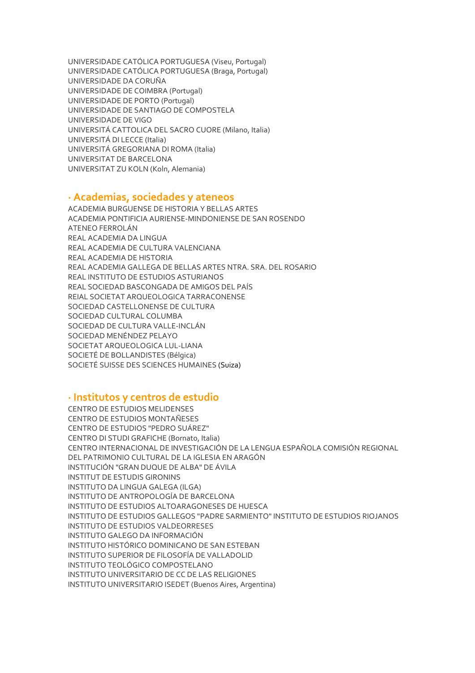UNIVERSIDADE CATÓLICA PORTUGUESA (Viseu, Portugal) UNIVERSIDADE CATÓLICA PORTUGUESA (Braga, Portugal) UNIVERSIDADE DA CORUÑA UNIVERSIDADE DE COIMBRA (Portugal) UNIVERSIDADE DE PORTO (Portugal) UNIVERSIDADE DE SANTIAGO DE COMPOSTELA UNIVERSIDADE DE VIGO UNIVERSITÁ CATTOLICA DEL SACRO CUORE (Milano, Italia) UNIVERSITÁ DI LECCE (Italia) UNIVERSITÁ GREGORIANA DI ROMA (Italia) UNIVERSITAT DE BARCELONA UNIVERSITAT ZU KOLN (Koln, Alemania)

### **· Academias, sociedades y ateneos**

ACADEMIA BURGUENSE DE HISTORIA Y BELLAS ARTES ACADEMIA PONTIFICIA AURIENSE-MINDONIENSE DE SAN ROSENDO ATENEO FERROLÁN REAL ACADEMIA DA LINGUA REAL ACADEMIA DE CULTURA VALENCIANA REAL ACADEMIA DE HISTORIA REAL ACADEMIA GALLEGA DE BELLAS ARTES NTRA. SRA. DEL ROSARIO REAL INSTITUTO DE ESTUDIOS ASTURIANOS REAL SOCIEDAD BASCONGADA DE AMIGOS DEL PAÍS REIAL SOCIETAT ARQUEOLOGICA TARRACONENSE SOCIEDAD CASTELLONENSE DE CULTURA SOCIEDAD CULTURAL COLUMBA SOCIEDAD DE CULTURA VALLE-INCLÁN SOCIEDAD MENÉNDEZ PELAYO SOCIETAT ARQUEOLOGICA LUL-LIANA SOCIETÉ DE BOLLANDISTES (Bélgica) SOCIETÉ SUISSE DES SCIENCES HUMAINES (Suiza)

### **· Institutos y centros de estudio**

CENTRO DE ESTUDIOS MELIDENSES CENTRO DE ESTUDIOS MONTAÑESES CENTRO DE ESTUDIOS "PEDRO SUÁREZ" CENTRO DI STUDI GRAFICHE (Bornato, Italia) CENTRO INTERNACIONAL DE INVESTIGACIÓN DE LA LENGUA ESPAÑOLA COMISIÓN REGIONAL DEL PATRIMONIO CULTURAL DE LA IGLESIA EN ARAGÓN INSTITUCIÓN "GRAN DUQUE DE ALBA" DE ÁVILA INSTITUT DE ESTUDIS GIRONINS INSTITUTO DA LINGUA GALEGA (ILGA) INSTITUTO DE ANTROPOLOGÍA DE BARCELONA INSTITUTO DE ESTUDIOS ALTOARAGONESES DE HUESCA INSTITUTO DE ESTUDIOS GALLEGOS "PADRE SARMIENTO" INSTITUTO DE ESTUDIOS RIOJANOS INSTITUTO DE ESTUDIOS VALDEORRESES INSTITUTO GALEGO DA INFORMACIÓN INSTITUTO HISTÓRICO DOMINICANO DE SAN ESTEBAN INSTITUTO SUPERIOR DE FILOSOFÍA DE VALLADOLID INSTITUTO TEOLÓGICO COMPOSTELANO INSTITUTO UNIVERSITARIO DE CC DE LAS RELIGIONES INSTITUTO UNIVERSITARIO ISEDET (Buenos Aires, Argentina)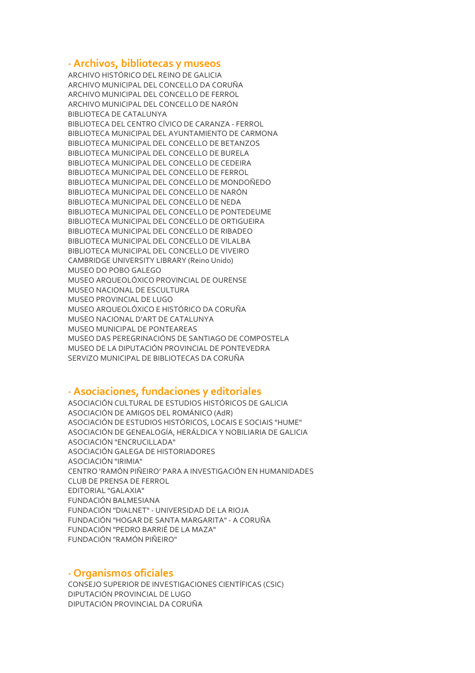### **· Archivos, bibliotecas y museos**

ARCHIVO HISTÓRICO DEL REINO DE GALICIA ARCHIVO MUNICIPAL DEL CONCELLO DA CORUÑA ARCHIVO MUNICIPAL DEL CONCELLO DE FERROL ARCHIVO MUNICIPAL DEL CONCELLO DE NARÓN BIBLIOTECA DE CATALUNYA BIBLIOTECA DEL CENTRO CÍVICO DE CARANZA - FERROL BIBLIOTECA MUNICIPAL DEL AYUNTAMIENTO DE CARMONA BIBLIOTECA MUNICIPAL DEL CONCELLO DE BETANZOS BIBLIOTECA MUNICIPAL DEL CONCELLO DE BURELA BIBLIOTECA MUNICIPAL DEL CONCELLO DE CEDEIRA BIBLIOTECA MUNICIPAL DEL CONCELLO DE FERROL BIBLIOTECA MUNICIPAL DEL CONCELLO DE MONDOÑEDO BIBLIOTECA MUNICIPAL DEL CONCELLO DE NARÓN BIBLIOTECA MUNICIPAL DEL CONCELLO DE NEDA BIBLIOTECA MUNICIPAL DEL CONCELLO DE PONTEDEUME BIBLIOTECA MUNICIPAL DEL CONCELLO DE ORTIGUEIRA BIBLIOTECA MUNICIPAL DEL CONCELLO DE RIBADEO BIBLIOTECA MUNICIPAL DEL CONCELLO DE VILALBA BIBLIOTECA MUNICIPAL DEL CONCELLO DE VIVEIRO CAMBRIDGE UNIVERSITY LIBRARY (Reino Unido) MUSEO DO POBO GALEGO MUSEO ARQUEOLÓXICO PROVINCIAL DE OURENSE MUSEO NACIONAL DE ESCULTURA MUSEO PROVINCIAL DE LUGO MUSEO ARQUEOLÓXICO E HISTÓRICO DA CORUÑA MUSEO NACIONAL D'ART DE CATALUNYA MUSEO MUNICIPAL DE PONTEAREAS MUSEO DAS PEREGRINACIÓNS DE SANTIAGO DE COMPOSTELA MUSEO DE LA DIPUTACIÓN PROVINCIAL DE PONTEVEDRA SERVIZO MUNICIPAL DE BIBLIOTECAS DA CORUÑA

### **· Asociaciones, fundaciones y editoriales**

ASOCIACIÓN CULTURAL DE ESTUDIOS HISTÓRICOS DE GALICIA ASOCIACIÓN DE AMIGOS DEL ROMÁNICO (AdR) ASOCIACIÓN DE ESTUDIOS HISTÓRICOS, LOCAIS E SOCIAIS "HUME" ASOCIACIÓN DE GENEALOGÍA, HERÁLDICA Y NOBILIARIA DE GALICIA ASOCIACIÓN "ENCRUCILLADA" ASOCIACIÓN GALEGA DE HISTORIADORES ASOCIACIÓN "IRIMIA" CENTRO 'RAMÓN PIÑEIRO' PARA A INVESTIGACIÓN EN HUMANIDADES CLUB DE PRENSA DE FERROL EDITORIAL "GALAXIA" FUNDACIÓN BALMESIANA FUNDACIÓN "DIALNET" - UNIVERSIDAD DE LA RIOJA FUNDACIÓN "HOGAR DE SANTA MARGARITA" - A CORUÑA FUNDACIÓN "PEDRO BARRIÉ DE LA MAZA" FUNDACIÓN "RAMÓN PIÑEIRO"

### **· Organismos oficiales**

CONSEJO SUPERIOR DE INVESTIGACIONES CIENTÍFICAS (CSIC) DIPUTACIÓN PROVINCIAL DE LUGO DIPUTACIÓN PROVINCIAL DA CORUÑA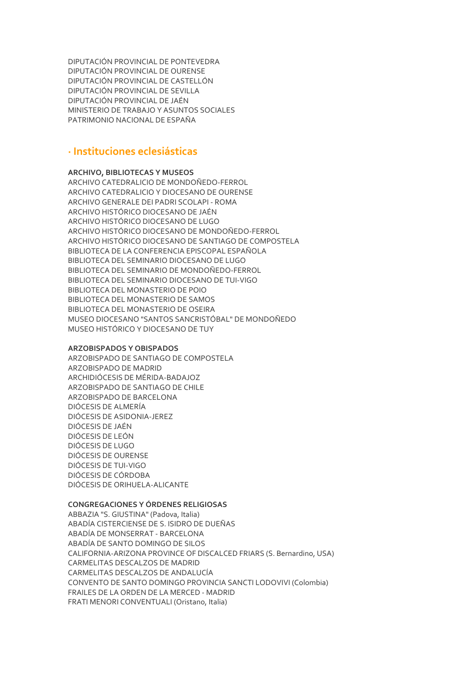DIPUTACIÓN PROVINCIAL DE PONTEVEDRA DIPUTACIÓN PROVINCIAL DE OURENSE DIPUTACIÓN PROVINCIAL DE CASTELLÓN DIPUTACIÓN PROVINCIAL DE SEVILLA DIPUTACIÓN PROVINCIAL DE JAÉN MINISTERIO DE TRABAJO Y ASUNTOS SOCIALES PATRIMONIO NACIONAL DE ESPAÑA

## **· Instituciones eclesiásticas**

#### **ARCHIVO, BIBLIOTECAS Y MUSEOS**

ARCHIVO CATEDRALICIO DE MONDOÑEDO-FERROL ARCHIVO CATEDRALICIO Y DIOCESANO DE OURENSE ARCHIVO GENERALE DEI PADRI SCOLAPI - ROMA ARCHIVO HISTÓRICO DIOCESANO DE JAÉN ARCHIVO HISTÓRICO DIOCESANO DE LUGO ARCHIVO HISTÓRICO DIOCESANO DE MONDOÑEDO-FERROL ARCHIVO HISTÓRICO DIOCESANO DE SANTIAGO DE COMPOSTELA BIBLIOTECA DE LA CONFERENCIA EPISCOPAL ESPAÑOLA BIBLIOTECA DEL SEMINARIO DIOCESANO DE LUGO BIBLIOTECA DEL SEMINARIO DE MONDOÑEDO-FERROL BIBLIOTECA DEL SEMINARIO DIOCESANO DE TUI-VIGO BIBLIOTECA DEL MONASTERIO DE POIO BIBLIOTECA DEL MONASTERIO DE SAMOS BIBLIOTECA DEL MONASTERIO DE OSEIRA MUSEO DIOCESANO "SANTOS SANCRISTÓBAL" DE MONDOÑEDO MUSEO HISTÓRICO Y DIOCESANO DE TUY

#### **ARZOBISPADOS Y OBISPADOS**

ARZOBISPADO DE SANTIAGO DE COMPOSTELA ARZOBISPADO DE MADRID ARCHIDIÓCESIS DE MÉRIDA-BADAJOZ ARZOBISPADO DE SANTIAGO DE CHILE ARZOBISPADO DE BARCELONA DIÓCESIS DE ALMERÍA DIÓCESIS DE ASIDONIA-JEREZ DIÓCESIS DE JAÉN DIÓCESIS DE LEÓN DIÓCESIS DE LUGO DIÓCESIS DE OURENSE DIÓCESIS DE TUI-VIGO DIÓCESIS DE CÓRDOBA DIÓCESIS DE ORIHUELA-ALICANTE

#### **CONGREGACIONES Y ÓRDENES RELIGIOSAS**

ABBAZIA "S. GIUSTINA" (Padova, Italia) ABADÍA CISTERCIENSE DE S. ISIDRO DE DUEÑAS ABADÍA DE MONSERRAT - BARCELONA ABADÍA DE SANTO DOMINGO DE SILOS CALIFORNIA-ARIZONA PROVINCE OF DISCALCED FRIARS (S. Bernardino, USA) CARMELITAS DESCALZOS DE MADRID CARMELITAS DESCALZOS DE ANDALUCÍA CONVENTO DE SANTO DOMINGO PROVINCIA SANCTI LODOVIVI (Colombia) FRAILES DE LA ORDEN DE LA MERCED - MADRID FRATI MENORI CONVENTUALI (Oristano, Italia)